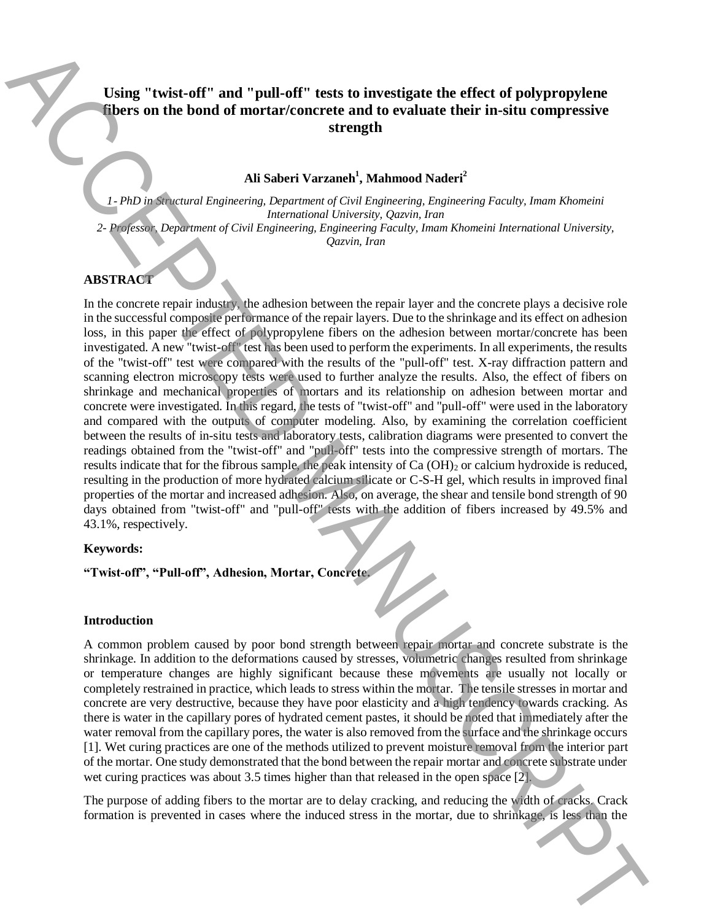# **Using "twist-off" and "pull-off" tests to investigate the effect of polypropylene fibers on the bond of mortar/concrete and to evaluate their in-situ compressive strength**

# **Ali Saberi Varzaneh<sup>1</sup> , Mahmood Naderi<sup>2</sup>**

*1*- *PhD in Structural Engineering, Department of Civil Engineering, Engineering Faculty, Imam Khomeini International University, Qazvin, Iran 2- Professor, Department of Civil Engineering, Engineering Faculty, Imam Khomeini International University, Qazvin, Iran* 

#### **ABSTRACT**

In the concrete repair industry, the adhesion between the repair layer and the concrete plays a decisive role in the successful composite performance of the repair layers. Due to the shrinkage and its effect on adhesion loss, in this paper the effect of polypropylene fibers on the adhesion between mortar/concrete has been investigated. A new "twist-off" test has been used to perform the experiments. In all experiments, the results of the "twist-off" test were compared with the results of the "pull-off" test. X-ray diffraction pattern and scanning electron microscopy tests were used to further analyze the results. Also, the effect of fibers on shrinkage and mechanical properties of mortars and its relationship on adhesion between mortar and concrete were investigated. In this regard, the tests of "twist-off" and "pull-off" were used in the laboratory and compared with the outputs of computer modeling. Also, by examining the correlation coefficient between the results of in-situ tests and laboratory tests, calibration diagrams were presented to convert the readings obtained from the "twist-off" and "pull-off" tests into the compressive strength of mortars. The results indicate that for the fibrous sample, the peak intensity of Ca (OH)<sub>2</sub> or calcium hydroxide is reduced, resulting in the production of more hydrated calcium silicate or C-S-H gel, which results in improved final properties of the mortar and increased adhesion. Also, on average, the shear and tensile bond strength of 90 days obtained from "twist-off" and "pull-off" tests with the addition of fibers increased by 49.5% and 43.1%, respectively. **Formation is prevented in case of the interest to investigate the effect of polypropylene**<br> **the subset of the mortarizements** at the mortarizement of the more than the more than the more than the more than the more than

#### **Keywords:**

**"Twist-off", "Pull-off", Adhesion, Mortar, Concrete.**

## **Introduction**

A common problem caused by poor bond strength between repair mortar and concrete substrate is the shrinkage. In addition to the deformations caused by stresses, volumetric changes resulted from shrinkage or temperature changes are highly significant because these movements are usually not locally or completely restrained in practice, which leads to stress within the mortar. The tensile stresses in mortar and concrete are very destructive, because they have poor elasticity and a high tendency towards cracking. As there is water in the capillary pores of hydrated cement pastes, it should be noted that immediately after the water removal from the capillary pores, the water is also removed from the surface and the shrinkage occurs [1]. Wet curing practices are one of the methods utilized to prevent moisture removal from the interior part of the mortar. One study demonstrated that the bond between the repair mortar and concrete substrate under wet curing practices was about 3.5 times higher than that released in the open space [2].

The purpose of adding fibers to the mortar are to delay cracking, and reducing the width of cracks. Crack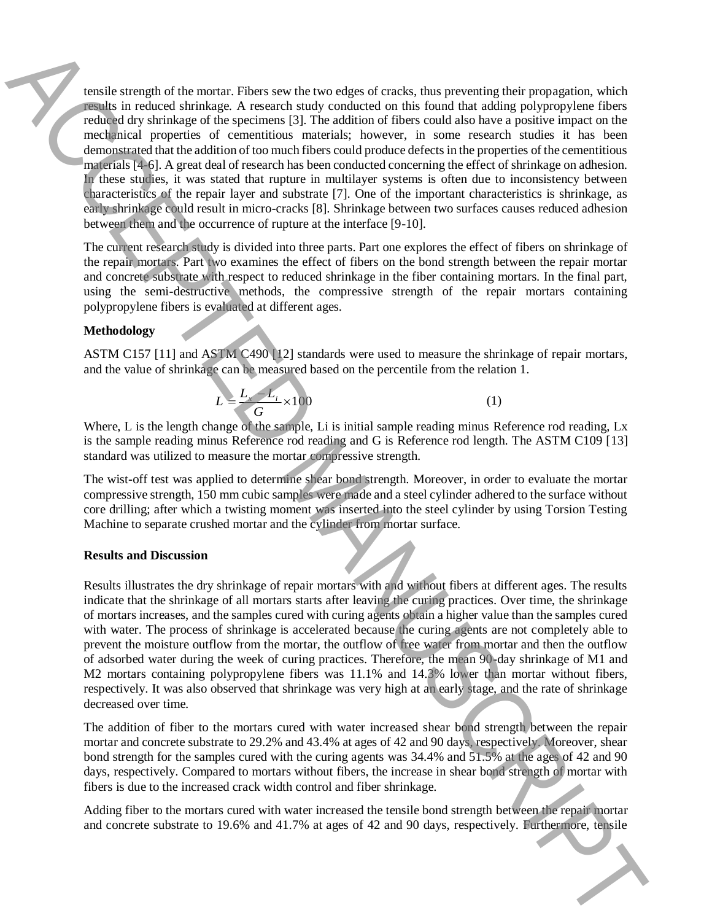tensile strength of the mortar. Fibers sew the two edges of cracks, thus preventing their propagation, which results in reduced shrinkage. A research study conducted on this found that adding polypropylene fibers reduced dry shrinkage of the specimens [3]. The addition of fibers could also have a positive impact on the mechanical properties of cementitious materials; however, in some research studies it has been demonstrated that the addition of too much fibers could produce defects in the properties of the cementitious materials [4-6]. A great deal of research has been conducted concerning the effect of shrinkage on adhesion. In these studies, it was stated that rupture in multilayer systems is often due to inconsistency between characteristics of the repair layer and substrate [7]. One of the important characteristics is shrinkage, as early shrinkage could result in micro-cracks [8]. Shrinkage between two surfaces causes reduced adhesion between them and the occurrence of rupture at the interface [9-10]. The substrate of 19.6 metric First substrate to 19.6 metric substrate to 19.6 metric substrate to 19.6 metric and 19.6 metric of 42.8 metric of 42.8 metric of 42.8 metric of 42.8 metric of 42.8 metric of 42.8 metric of 42

The current research study is divided into three parts. Part one explores the effect of fibers on shrinkage of the repair mortars. Part two examines the effect of fibers on the bond strength between the repair mortar and concrete substrate with respect to reduced shrinkage in the fiber containing mortars. In the final part, using the semi-destructive methods, the compressive strength of the repair mortars containing polypropylene fibers is evaluated at different ages.

## **Methodology**

ASTM C157 [11] and ASTM C490 [12] standards were used to measure the shrinkage of repair mortars, and the value of shrinkage can be measured based on the percentile from the relation 1.

 $=\frac{L_{x}-L_{i}}{2} \times 100$  (1)

*G* Where, L is the length change of the sample, Li is initial sample reading minus Reference rod reading, Lx is the sample reading minus Reference rod reading and G is Reference rod length. The ASTM C109 [13] standard was utilized to measure the mortar compressive strength.

The wist-off test was applied to determine shear bond strength. Moreover, in order to evaluate the mortar compressive strength, 150 mm cubic samples were made and a steel cylinder adhered to the surface without core drilling; after which a twisting moment was inserted into the steel cylinder by using Torsion Testing Machine to separate crushed mortar and the cylinder from mortar surface.

### **Results and Discussion**

 $L = \frac{L_x - L_i}{\sqrt{2\pi}} \times 100$ 

Results illustrates the dry shrinkage of repair mortars with and without fibers at different ages. The results indicate that the shrinkage of all mortars starts after leaving the curing practices. Over time, the shrinkage of mortars increases, and the samples cured with curing agents obtain a higher value than the samples cured with water. The process of shrinkage is accelerated because the curing agents are not completely able to prevent the moisture outflow from the mortar, the outflow of free water from mortar and then the outflow of adsorbed water during the week of curing practices. Therefore, the mean 90-day shrinkage of M1 and M2 mortars containing polypropylene fibers was 11.1% and 14.3% lower than mortar without fibers, respectively. It was also observed that shrinkage was very high at an early stage, and the rate of shrinkage decreased over time.

The addition of fiber to the mortars cured with water increased shear bond strength between the repair mortar and concrete substrate to 29.2% and 43.4% at ages of 42 and 90 days, respectively. Moreover, shear bond strength for the samples cured with the curing agents was 34.4% and 51.5% at the ages of 42 and 90 days, respectively. Compared to mortars without fibers, the increase in shear bond strength of mortar with fibers is due to the increased crack width control and fiber shrinkage.

Adding fiber to the mortars cured with water increased the tensile bond strength between the repair mortar